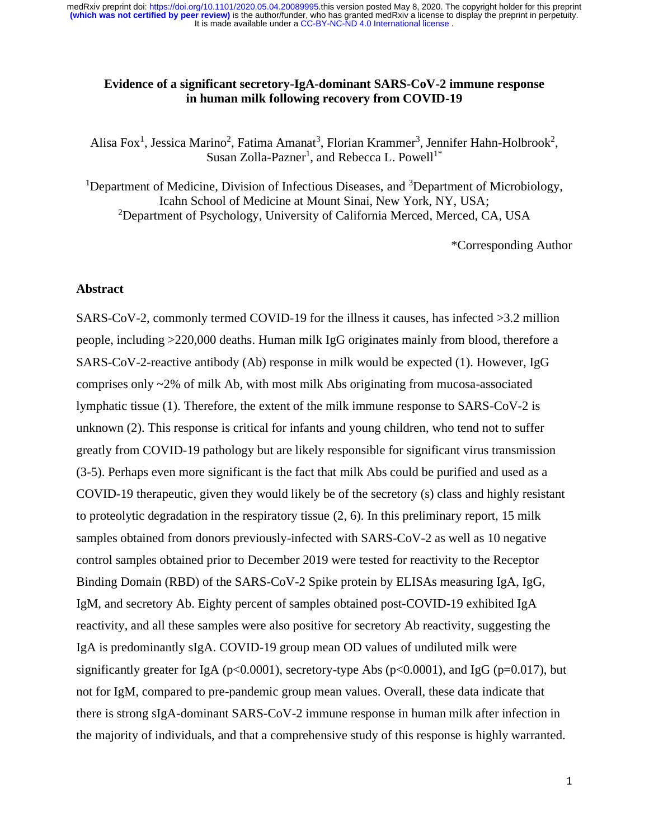# **Evidence of a significant secretory-IgA-dominant SARS-CoV-2 immune response in human milk following recovery from COVID-19**

Alisa Fox<sup>1</sup>, Jessica Marino<sup>2</sup>, Fatima Amanat<sup>3</sup>, Florian Krammer<sup>3</sup>, Jennifer Hahn-Holbrook<sup>2</sup>, Susan Zolla-Pazner<sup>1</sup>, and Rebecca L. Powell<sup>1\*</sup>

<sup>1</sup>Department of Medicine, Division of Infectious Diseases, and  ${}^{3}$ Department of Microbiology, Icahn School of Medicine at Mount Sinai, New York, NY, USA; <sup>2</sup>Department of Psychology, University of California Merced, Merced, CA, USA

\*Corresponding Author

## **Abstract**

SARS-CoV-2, commonly termed COVID-19 for the illness it causes, has infected >3.2 million people, including >220,000 deaths. Human milk IgG originates mainly from blood, therefore a SARS-CoV-2-reactive antibody (Ab) response in milk would be expected (1). However, IgG comprises only ~2% of milk Ab, with most milk Abs originating from mucosa-associated lymphatic tissue (1). Therefore, the extent of the milk immune response to SARS-CoV-2 is unknown (2). This response is critical for infants and young children, who tend not to suffer greatly from COVID-19 pathology but are likely responsible for significant virus transmission (3-5). Perhaps even more significant is the fact that milk Abs could be purified and used as a COVID-19 therapeutic, given they would likely be of the secretory (s) class and highly resistant to proteolytic degradation in the respiratory tissue  $(2, 6)$ . In this preliminary report, 15 milk samples obtained from donors previously-infected with SARS-CoV-2 as well as 10 negative control samples obtained prior to December 2019 were tested for reactivity to the Receptor Binding Domain (RBD) of the SARS-CoV-2 Spike protein by ELISAs measuring IgA, IgG, IgM, and secretory Ab. Eighty percent of samples obtained post-COVID-19 exhibited IgA reactivity, and all these samples were also positive for secretory Ab reactivity, suggesting the IgA is predominantly sIgA. COVID-19 group mean OD values of undiluted milk were significantly greater for IgA ( $p<0.0001$ ), secretory-type Abs ( $p<0.0001$ ), and IgG ( $p=0.017$ ), but not for IgM, compared to pre-pandemic group mean values. Overall, these data indicate that there is strong sIgA-dominant SARS-CoV-2 immune response in human milk after infection in the majority of individuals, and that a comprehensive study of this response is highly warranted.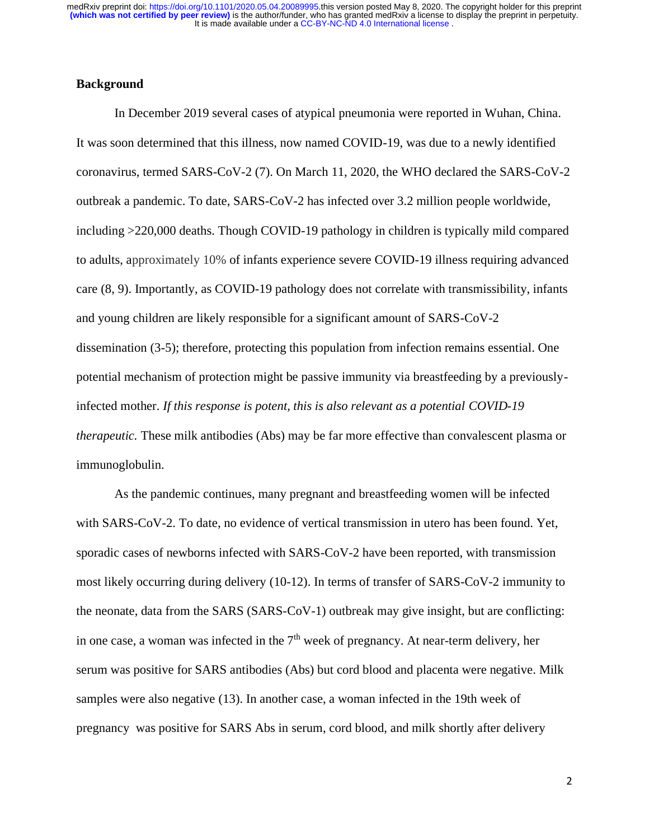## **Background**

In December 2019 several cases of atypical pneumonia were reported in Wuhan, China. It was soon determined that this illness, now named COVID-19, was due to a newly identified coronavirus, termed SARS-CoV-2 (7). On March 11, 2020, the WHO declared the SARS-CoV-2 outbreak a pandemic. To date, SARS-CoV-2 has infected over 3.2 million people worldwide, including >220,000 deaths. Though COVID-19 pathology in children is typically mild compared to adults, approximately 10% of infants experience severe COVID-19 illness requiring advanced care (8, 9). Importantly, as COVID-19 pathology does not correlate with transmissibility, infants and young children are likely responsible for a significant amount of SARS-CoV-2 dissemination (3-5); therefore, protecting this population from infection remains essential. One potential mechanism of protection might be passive immunity via breastfeeding by a previouslyinfected mother. *If this response is potent, this is also relevant as a potential COVID-19 therapeutic.* These milk antibodies (Abs) may be far more effective than convalescent plasma or immunoglobulin.

As the pandemic continues, many pregnant and breastfeeding women will be infected with SARS-CoV-2. To date, no evidence of vertical transmission in utero has been found. Yet, sporadic cases of newborns infected with SARS-CoV-2 have been reported, with transmission most likely occurring during delivery (10-12). In terms of transfer of SARS-CoV-2 immunity to the neonate, data from the SARS (SARS-CoV-1) outbreak may give insight, but are conflicting: in one case, a woman was infected in the  $7<sup>th</sup>$  week of pregnancy. At near-term delivery, her serum was positive for SARS antibodies (Abs) but cord blood and placenta were negative. Milk samples were also negative (13). In another case, a woman infected in the 19th week of pregnancy was positive for SARS Abs in serum, cord blood, and milk shortly after delivery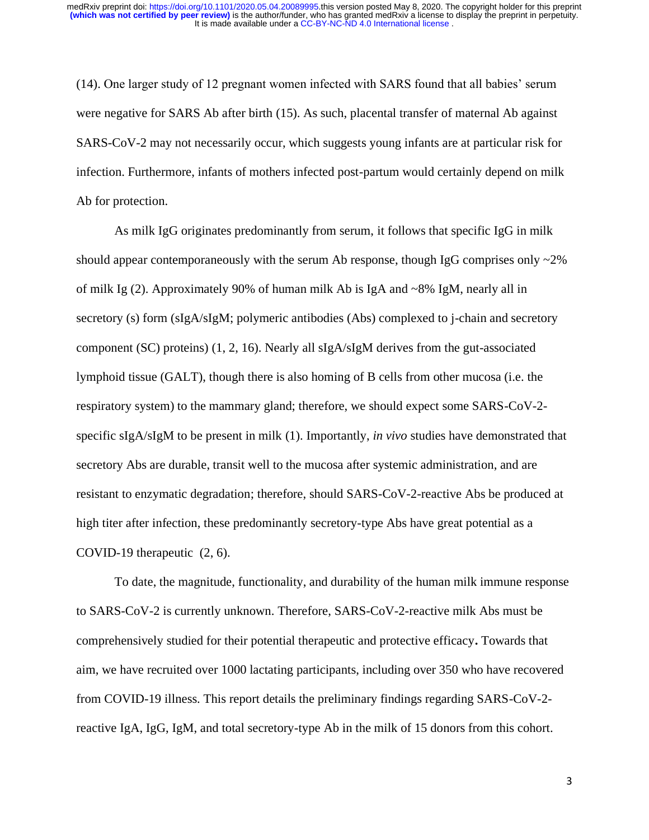(14). One larger study of 12 pregnant women infected with SARS found that all babies' serum were negative for SARS Ab after birth (15). As such, placental transfer of maternal Ab against SARS-CoV-2 may not necessarily occur, which suggests young infants are at particular risk for infection. Furthermore, infants of mothers infected post-partum would certainly depend on milk Ab for protection.

As milk IgG originates predominantly from serum, it follows that specific IgG in milk should appear contemporaneously with the serum Ab response, though IgG comprises only  $\sim$ 2% of milk Ig (2). Approximately 90% of human milk Ab is IgA and ~8% IgM, nearly all in secretory (s) form (sIgA/sIgM; polymeric antibodies (Abs) complexed to j-chain and secretory component (SC) proteins) (1, 2, 16). Nearly all sIgA/sIgM derives from the gut-associated lymphoid tissue (GALT), though there is also homing of B cells from other mucosa (i.e. the respiratory system) to the mammary gland; therefore, we should expect some SARS-CoV-2 specific sIgA/sIgM to be present in milk (1). Importantly, *in vivo* studies have demonstrated that secretory Abs are durable, transit well to the mucosa after systemic administration, and are resistant to enzymatic degradation; therefore, should SARS-CoV-2-reactive Abs be produced at high titer after infection, these predominantly secretory-type Abs have great potential as a COVID-19 therapeutic (2, 6).

To date, the magnitude, functionality, and durability of the human milk immune response to SARS-CoV-2 is currently unknown. Therefore, SARS-CoV-2-reactive milk Abs must be comprehensively studied for their potential therapeutic and protective efficacy**.** Towards that aim, we have recruited over 1000 lactating participants, including over 350 who have recovered from COVID-19 illness. This report details the preliminary findings regarding SARS-CoV-2 reactive IgA, IgG, IgM, and total secretory-type Ab in the milk of 15 donors from this cohort.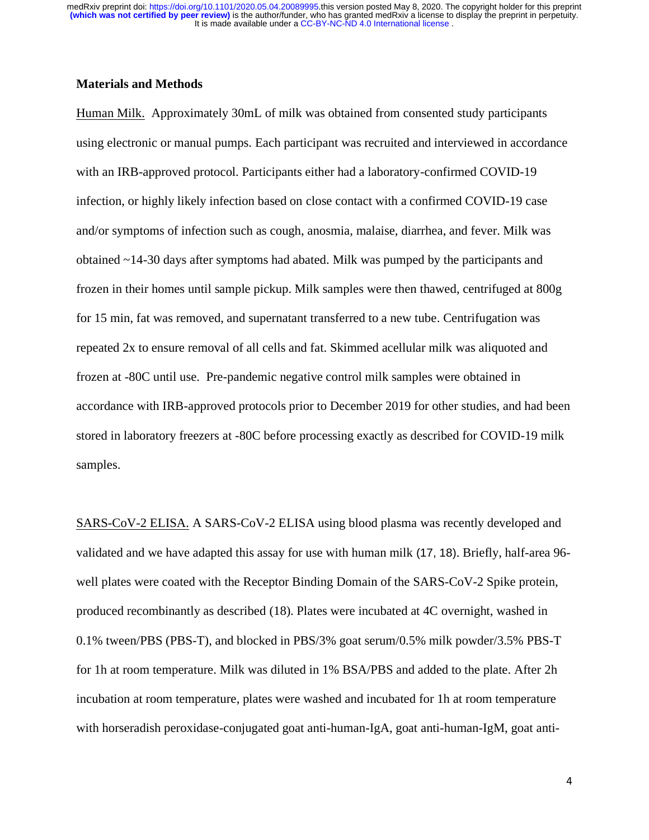# **Materials and Methods**

Human Milk. Approximately 30mL of milk was obtained from consented study participants using electronic or manual pumps. Each participant was recruited and interviewed in accordance with an IRB-approved protocol. Participants either had a laboratory-confirmed COVID-19 infection, or highly likely infection based on close contact with a confirmed COVID-19 case and/or symptoms of infection such as cough, anosmia, malaise, diarrhea, and fever. Milk was obtained ~14-30 days after symptoms had abated. Milk was pumped by the participants and frozen in their homes until sample pickup. Milk samples were then thawed, centrifuged at 800g for 15 min, fat was removed, and supernatant transferred to a new tube. Centrifugation was repeated 2x to ensure removal of all cells and fat. Skimmed acellular milk was aliquoted and frozen at -80C until use. Pre-pandemic negative control milk samples were obtained in accordance with IRB-approved protocols prior to December 2019 for other studies, and had been stored in laboratory freezers at -80C before processing exactly as described for COVID-19 milk samples.

SARS-CoV-2 ELISA. A SARS-CoV-2 ELISA using blood plasma was recently developed and validated and we have adapted this assay for use with human milk (17, 18). Briefly, half-area 96 well plates were coated with the Receptor Binding Domain of the SARS-CoV-2 Spike protein, produced recombinantly as described (18). Plates were incubated at 4C overnight, washed in 0.1% tween/PBS (PBS-T), and blocked in PBS/3% goat serum/0.5% milk powder/3.5% PBS-T for 1h at room temperature. Milk was diluted in 1% BSA/PBS and added to the plate. After 2h incubation at room temperature, plates were washed and incubated for 1h at room temperature with horseradish peroxidase-conjugated goat anti-human-IgA, goat anti-human-IgM, goat anti-

4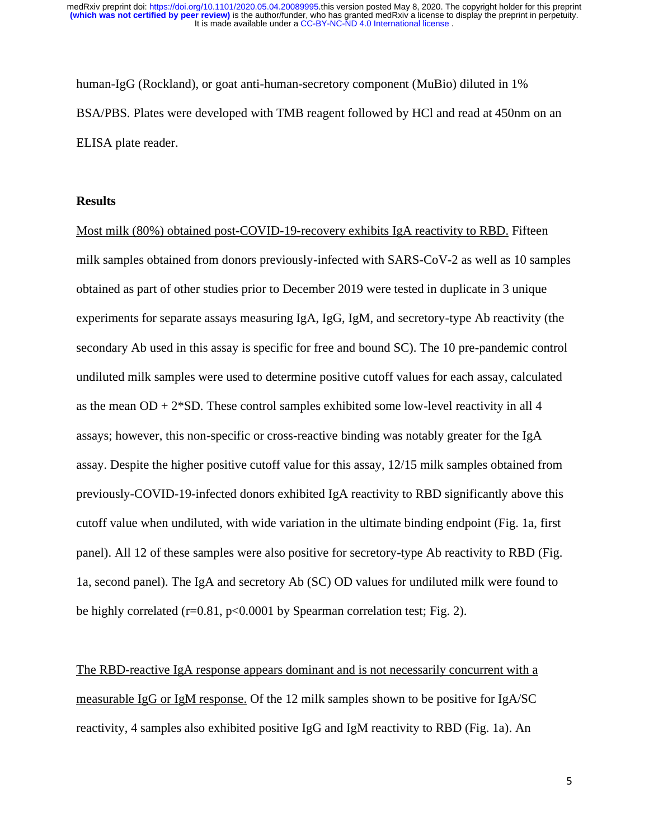human-IgG (Rockland), or goat anti-human-secretory component (MuBio) diluted in 1% BSA/PBS. Plates were developed with TMB reagent followed by HCl and read at 450nm on an ELISA plate reader.

#### **Results**

Most milk (80%) obtained post-COVID-19-recovery exhibits IgA reactivity to RBD. Fifteen milk samples obtained from donors previously-infected with SARS-CoV-2 as well as 10 samples obtained as part of other studies prior to December 2019 were tested in duplicate in 3 unique experiments for separate assays measuring IgA, IgG, IgM, and secretory-type Ab reactivity (the secondary Ab used in this assay is specific for free and bound SC). The 10 pre-pandemic control undiluted milk samples were used to determine positive cutoff values for each assay, calculated as the mean  $OD + 2*SD$ . These control samples exhibited some low-level reactivity in all 4 assays; however, this non-specific or cross-reactive binding was notably greater for the IgA assay. Despite the higher positive cutoff value for this assay, 12/15 milk samples obtained from previously-COVID-19-infected donors exhibited IgA reactivity to RBD significantly above this cutoff value when undiluted, with wide variation in the ultimate binding endpoint (Fig. 1a, first panel). All 12 of these samples were also positive for secretory-type Ab reactivity to RBD (Fig. 1a, second panel). The IgA and secretory Ab (SC) OD values for undiluted milk were found to be highly correlated (r=0.81, p<0.0001 by Spearman correlation test; Fig. 2).

The RBD-reactive IgA response appears dominant and is not necessarily concurrent with a measurable IgG or IgM response. Of the 12 milk samples shown to be positive for IgA/SC reactivity, 4 samples also exhibited positive IgG and IgM reactivity to RBD (Fig. 1a). An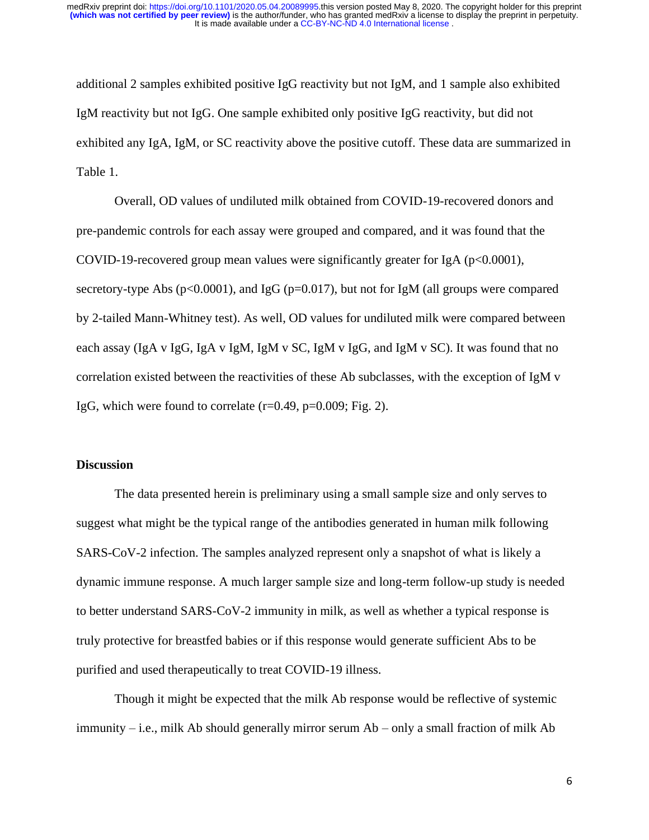additional 2 samples exhibited positive IgG reactivity but not IgM, and 1 sample also exhibited IgM reactivity but not IgG. One sample exhibited only positive IgG reactivity, but did not exhibited any IgA, IgM, or SC reactivity above the positive cutoff. These data are summarized in Table 1.

Overall, OD values of undiluted milk obtained from COVID-19-recovered donors and pre-pandemic controls for each assay were grouped and compared, and it was found that the COVID-19-recovered group mean values were significantly greater for IgA ( $p<0.0001$ ), secretory-type Abs ( $p<0.0001$ ), and IgG ( $p=0.017$ ), but not for IgM (all groups were compared by 2-tailed Mann-Whitney test). As well, OD values for undiluted milk were compared between each assay (IgA v IgG, IgA v IgM, IgM v SC, IgM v IgG, and IgM v SC). It was found that no correlation existed between the reactivities of these Ab subclasses, with the exception of IgM v IgG, which were found to correlate  $(r=0.49, p=0.009; Fig. 2)$ .

## **Discussion**

The data presented herein is preliminary using a small sample size and only serves to suggest what might be the typical range of the antibodies generated in human milk following SARS-CoV-2 infection. The samples analyzed represent only a snapshot of what is likely a dynamic immune response. A much larger sample size and long-term follow-up study is needed to better understand SARS-CoV-2 immunity in milk, as well as whether a typical response is truly protective for breastfed babies or if this response would generate sufficient Abs to be purified and used therapeutically to treat COVID-19 illness.

Though it might be expected that the milk Ab response would be reflective of systemic immunity – i.e., milk Ab should generally mirror serum Ab – only a small fraction of milk Ab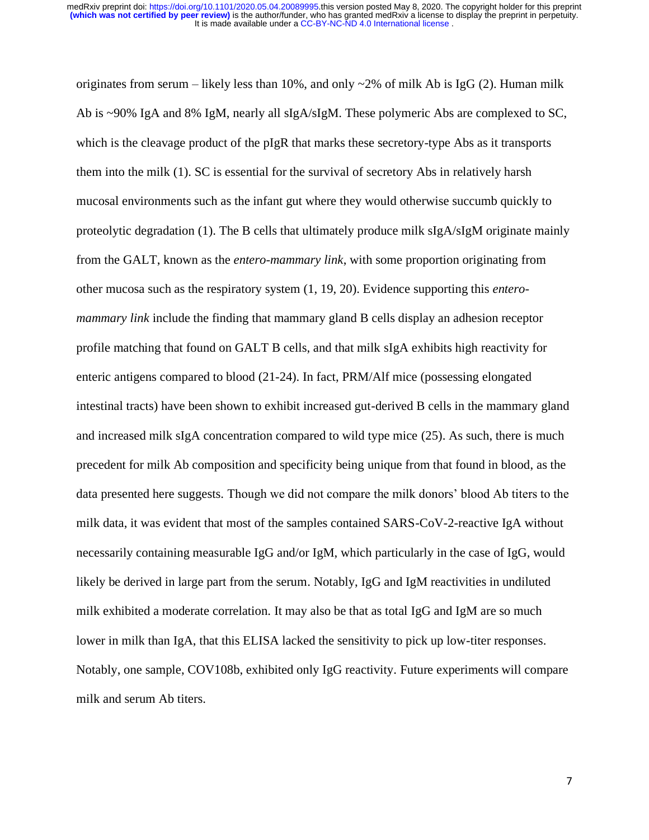originates from serum – likely less than 10%, and only  $\sim$ 2% of milk Ab is IgG (2). Human milk Ab is ~90% IgA and 8% IgM, nearly all sIgA/sIgM. These polymeric Abs are complexed to SC, which is the cleavage product of the pIgR that marks these secretory-type Abs as it transports them into the milk (1). SC is essential for the survival of secretory Abs in relatively harsh mucosal environments such as the infant gut where they would otherwise succumb quickly to proteolytic degradation (1). The B cells that ultimately produce milk sIgA/sIgM originate mainly from the GALT, known as the *entero-mammary link*, with some proportion originating from other mucosa such as the respiratory system (1, 19, 20). Evidence supporting this *enteromammary link* include the finding that mammary gland B cells display an adhesion receptor profile matching that found on GALT B cells, and that milk sIgA exhibits high reactivity for enteric antigens compared to blood (21-24). In fact, PRM/Alf mice (possessing elongated intestinal tracts) have been shown to exhibit increased gut-derived B cells in the mammary gland and increased milk sIgA concentration compared to wild type mice (25). As such, there is much precedent for milk Ab composition and specificity being unique from that found in blood, as the data presented here suggests. Though we did not compare the milk donors' blood Ab titers to the milk data, it was evident that most of the samples contained SARS-CoV-2-reactive IgA without necessarily containing measurable IgG and/or IgM, which particularly in the case of IgG, would likely be derived in large part from the serum. Notably, IgG and IgM reactivities in undiluted milk exhibited a moderate correlation. It may also be that as total IgG and IgM are so much lower in milk than IgA, that this ELISA lacked the sensitivity to pick up low-titer responses. Notably, one sample, COV108b, exhibited only IgG reactivity. Future experiments will compare milk and serum Ab titers.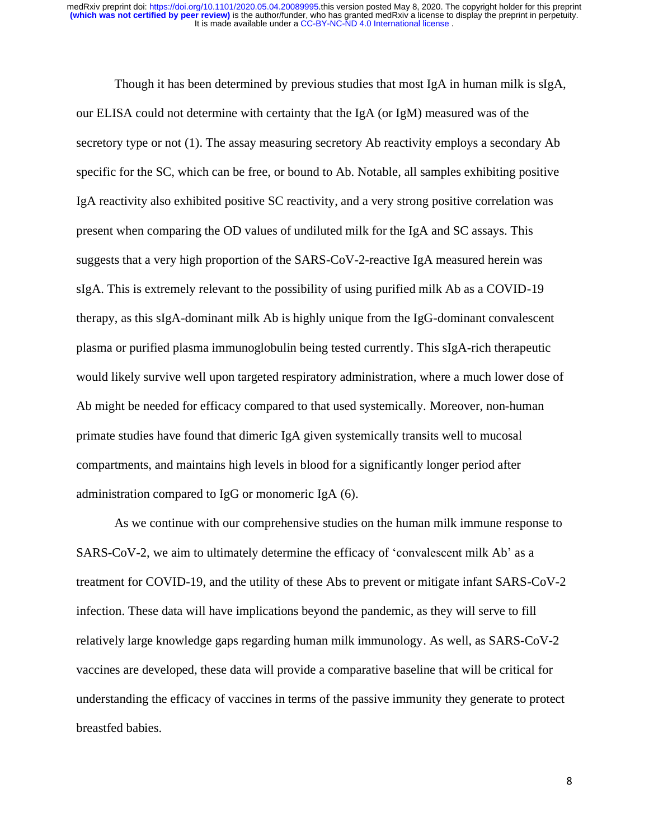Though it has been determined by previous studies that most IgA in human milk is sIgA, our ELISA could not determine with certainty that the IgA (or IgM) measured was of the secretory type or not (1). The assay measuring secretory Ab reactivity employs a secondary Ab specific for the SC, which can be free, or bound to Ab. Notable, all samples exhibiting positive IgA reactivity also exhibited positive SC reactivity, and a very strong positive correlation was present when comparing the OD values of undiluted milk for the IgA and SC assays. This suggests that a very high proportion of the SARS-CoV-2-reactive IgA measured herein was sIgA. This is extremely relevant to the possibility of using purified milk Ab as a COVID-19 therapy, as this sIgA-dominant milk Ab is highly unique from the IgG-dominant convalescent plasma or purified plasma immunoglobulin being tested currently. This sIgA-rich therapeutic would likely survive well upon targeted respiratory administration, where a much lower dose of Ab might be needed for efficacy compared to that used systemically. Moreover, non-human primate studies have found that dimeric IgA given systemically transits well to mucosal compartments, and maintains high levels in blood for a significantly longer period after administration compared to IgG or monomeric IgA (6).

As we continue with our comprehensive studies on the human milk immune response to SARS-CoV-2, we aim to ultimately determine the efficacy of 'convalescent milk Ab' as a treatment for COVID-19, and the utility of these Abs to prevent or mitigate infant SARS-CoV-2 infection. These data will have implications beyond the pandemic, as they will serve to fill relatively large knowledge gaps regarding human milk immunology. As well, as SARS-CoV-2 vaccines are developed, these data will provide a comparative baseline that will be critical for understanding the efficacy of vaccines in terms of the passive immunity they generate to protect breastfed babies.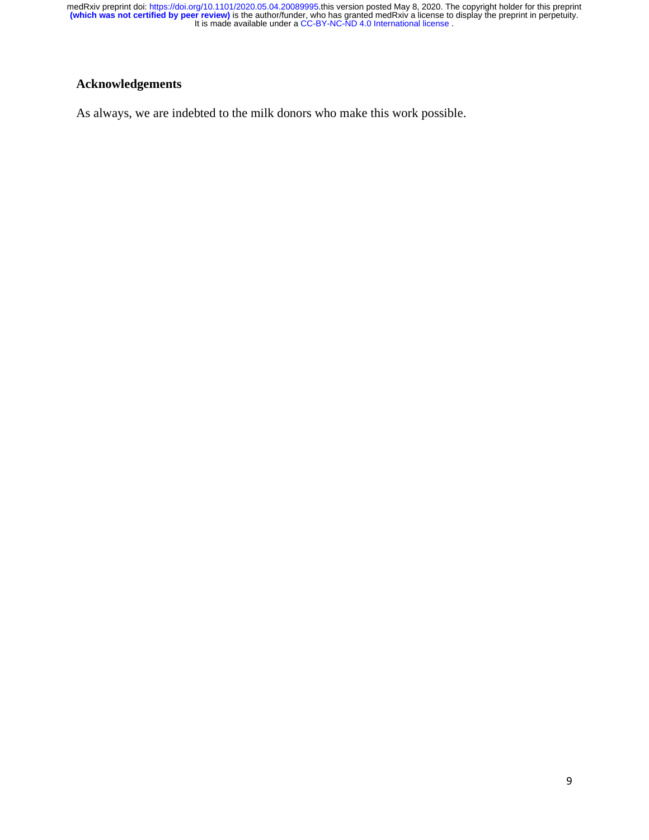# **Acknowledgements**

As always, we are indebted to the milk donors who make this work possible.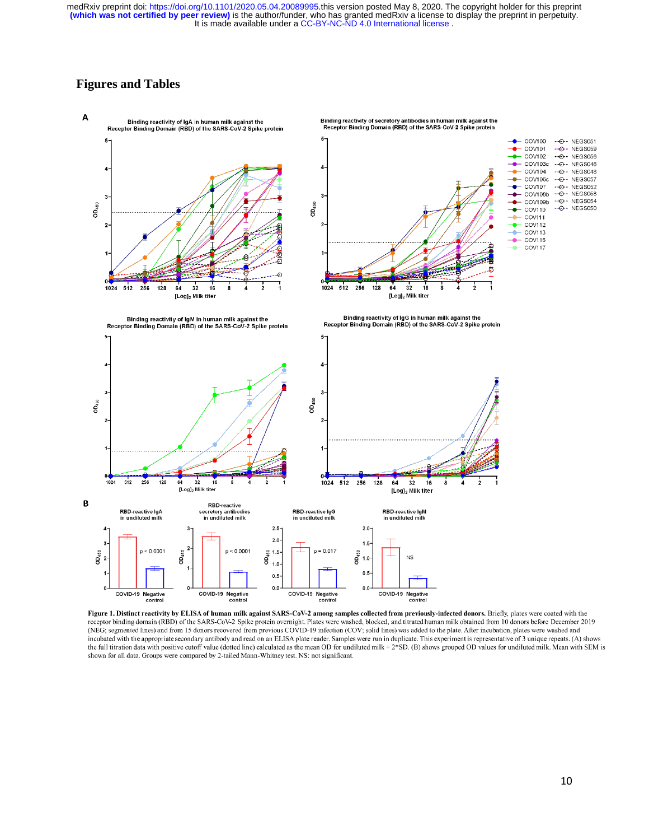# **Figures and Tables**



Figure 1. Distinct reactivity by ELISA of human milk against SARS-CoV-2 among samples collected from previously-infected donors. Briefly, plates were coated with the receptor binding domain (RBD) of the SARS-CoV-2 Spike protein overnight. Plates were washed, blocked, and titrated human milk obtained from 10 donors before December 2019 (NEG; segmented lines) and from 15 donors recovered from previous COVID-19 infection (COV; solid lines) was added to the plate. After incubation, plates were washed and incubated with the appropriate secondary antibody and read on an ELISA plate reader. Samples were run in duplicate. This experiment is representative of 3 unique repeats. (A) shows the full titration data with positive cutoff value (dotted line) calculated as the mean OD for undiluted milk + 2\*SD. (B) shows grouped OD values for undiluted milk. Mean with SEM is shown for all data. Groups were compared by 2-tailed Mann-Whitney test. NS: not significant.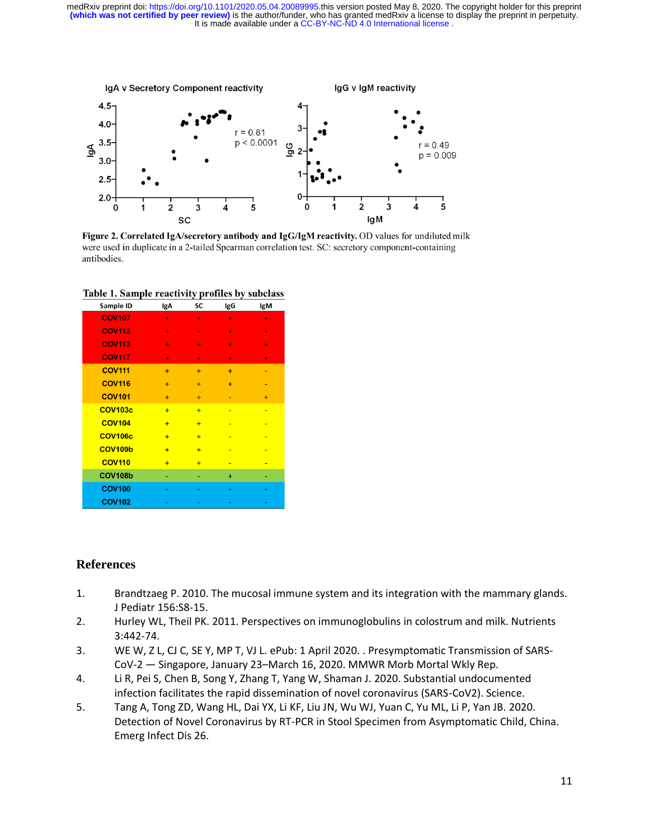It is made available under a [CC-BY-NC-ND 4.0 International license](http://creativecommons.org/licenses/by-nc-nd/4.0/) . **(which was not certified by peer review)** is the author/funder, who has granted medRxiv a license to display the preprint in perpetuity. medRxiv preprint doi: [https://doi.org/10.1101/2020.05.04.20089995.](https://doi.org/10.1101/2020.05.04.20089995)this version posted May 8, 2020. The copyright holder for this preprint



Figure 2. Correlated IgA/secretory antibody and IgG/IgM reactivity. OD values for undiluted milk were used in duplicate in a 2-tailed Spearman correlation test. SC: secretory component-containing antibodies.

| Sample ID      | lgA            | SC  | lgG       | lgM       |
|----------------|----------------|-----|-----------|-----------|
| <b>COV107</b>  | ٠              | ٠   | ÷         | ÷         |
| <b>COV112</b>  | ÷              | ٠   | ٠         | ÷         |
| <b>COV113</b>  | ÷              | ٠   | ÷         | ÷         |
| <b>COV117</b>  | ÷              | ÷   | ÷         | ÷         |
| <b>COV111</b>  | $+$            | $+$ | $+$       | ۰         |
| <b>COV116</b>  | $\ddot{}$      | $+$ | $\ddot{}$ | ۰         |
| <b>COV101</b>  | $\ddot{}$      | $+$ | ٠         | $\ddot{}$ |
| <b>COV103c</b> | $+$            | $+$ | ٠         | ٠         |
| <b>COV104</b>  | $+$            | $+$ |           |           |
| <b>COV106c</b> | $+$            | $+$ | ٠         | ٠         |
| <b>COV109b</b> | $+$            | $+$ | ٠         |           |
| <b>COV110</b>  | $\overline{+}$ | $+$ |           |           |
| <b>COV108b</b> |                | ۰   | $\ddot{}$ |           |
| <b>COV100</b>  |                |     |           |           |
| <b>COV102</b>  |                |     |           |           |

Table 1. Sample reactivity profiles by subclass

### **References**

- 1. Brandtzaeg P. 2010. The mucosal immune system and its integration with the mammary glands. J Pediatr 156:S8-15.
- 2. Hurley WL, Theil PK. 2011. Perspectives on immunoglobulins in colostrum and milk. Nutrients 3:442-74.
- 3. WE W, Z L, CJ C, SE Y, MP T, VJ L. ePub: 1 April 2020. . Presymptomatic Transmission of SARS-CoV-2 — Singapore, January 23–March 16, 2020. MMWR Morb Mortal Wkly Rep.
- 4. Li R, Pei S, Chen B, Song Y, Zhang T, Yang W, Shaman J. 2020. Substantial undocumented infection facilitates the rapid dissemination of novel coronavirus (SARS-CoV2). Science.
- 5. Tang A, Tong ZD, Wang HL, Dai YX, Li KF, Liu JN, Wu WJ, Yuan C, Yu ML, Li P, Yan JB. 2020. Detection of Novel Coronavirus by RT-PCR in Stool Specimen from Asymptomatic Child, China. Emerg Infect Dis 26.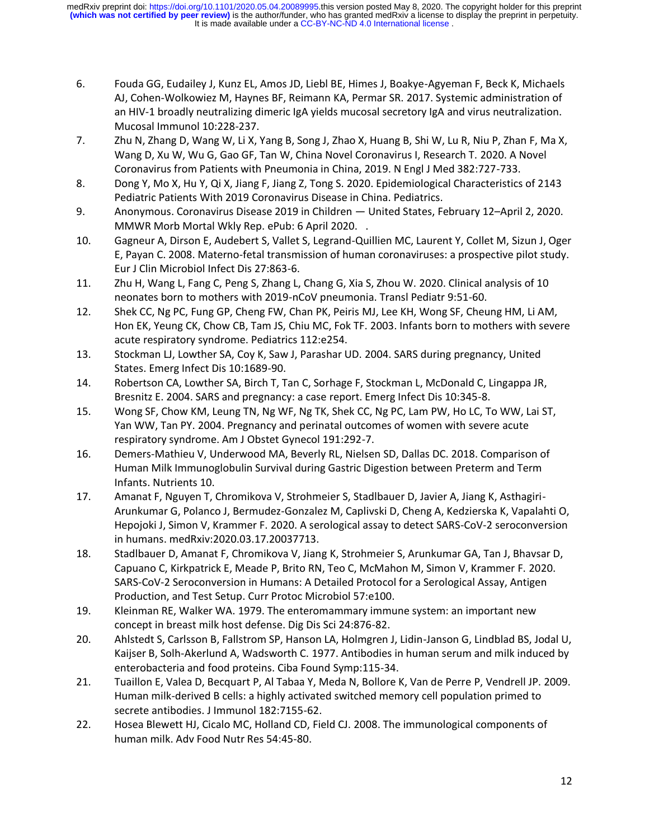- 6. Fouda GG, Eudailey J, Kunz EL, Amos JD, Liebl BE, Himes J, Boakye-Agyeman F, Beck K, Michaels AJ, Cohen-Wolkowiez M, Haynes BF, Reimann KA, Permar SR. 2017. Systemic administration of an HIV-1 broadly neutralizing dimeric IgA yields mucosal secretory IgA and virus neutralization. Mucosal Immunol 10:228-237.
- 7. Zhu N, Zhang D, Wang W, Li X, Yang B, Song J, Zhao X, Huang B, Shi W, Lu R, Niu P, Zhan F, Ma X, Wang D, Xu W, Wu G, Gao GF, Tan W, China Novel Coronavirus I, Research T. 2020. A Novel Coronavirus from Patients with Pneumonia in China, 2019. N Engl J Med 382:727-733.
- 8. Dong Y, Mo X, Hu Y, Qi X, Jiang F, Jiang Z, Tong S. 2020. Epidemiological Characteristics of 2143 Pediatric Patients With 2019 Coronavirus Disease in China. Pediatrics.
- 9. Anonymous. Coronavirus Disease 2019 in Children United States, February 12–April 2, 2020. MMWR Morb Mortal Wkly Rep. ePub: 6 April 2020. .
- 10. Gagneur A, Dirson E, Audebert S, Vallet S, Legrand-Quillien MC, Laurent Y, Collet M, Sizun J, Oger E, Payan C. 2008. Materno-fetal transmission of human coronaviruses: a prospective pilot study. Eur J Clin Microbiol Infect Dis 27:863-6.
- 11. Zhu H, Wang L, Fang C, Peng S, Zhang L, Chang G, Xia S, Zhou W. 2020. Clinical analysis of 10 neonates born to mothers with 2019-nCoV pneumonia. Transl Pediatr 9:51-60.
- 12. Shek CC, Ng PC, Fung GP, Cheng FW, Chan PK, Peiris MJ, Lee KH, Wong SF, Cheung HM, Li AM, Hon EK, Yeung CK, Chow CB, Tam JS, Chiu MC, Fok TF. 2003. Infants born to mothers with severe acute respiratory syndrome. Pediatrics 112:e254.
- 13. Stockman LJ, Lowther SA, Coy K, Saw J, Parashar UD. 2004. SARS during pregnancy, United States. Emerg Infect Dis 10:1689-90.
- 14. Robertson CA, Lowther SA, Birch T, Tan C, Sorhage F, Stockman L, McDonald C, Lingappa JR, Bresnitz E. 2004. SARS and pregnancy: a case report. Emerg Infect Dis 10:345-8.
- 15. Wong SF, Chow KM, Leung TN, Ng WF, Ng TK, Shek CC, Ng PC, Lam PW, Ho LC, To WW, Lai ST, Yan WW, Tan PY. 2004. Pregnancy and perinatal outcomes of women with severe acute respiratory syndrome. Am J Obstet Gynecol 191:292-7.
- 16. Demers-Mathieu V, Underwood MA, Beverly RL, Nielsen SD, Dallas DC. 2018. Comparison of Human Milk Immunoglobulin Survival during Gastric Digestion between Preterm and Term Infants. Nutrients 10.
- 17. Amanat F, Nguyen T, Chromikova V, Strohmeier S, Stadlbauer D, Javier A, Jiang K, Asthagiri-Arunkumar G, Polanco J, Bermudez-Gonzalez M, Caplivski D, Cheng A, Kedzierska K, Vapalahti O, Hepojoki J, Simon V, Krammer F. 2020. A serological assay to detect SARS-CoV-2 seroconversion in humans. medRxiv:2020.03.17.20037713.
- 18. Stadlbauer D, Amanat F, Chromikova V, Jiang K, Strohmeier S, Arunkumar GA, Tan J, Bhavsar D, Capuano C, Kirkpatrick E, Meade P, Brito RN, Teo C, McMahon M, Simon V, Krammer F. 2020. SARS-CoV-2 Seroconversion in Humans: A Detailed Protocol for a Serological Assay, Antigen Production, and Test Setup. Curr Protoc Microbiol 57:e100.
- 19. Kleinman RE, Walker WA. 1979. The enteromammary immune system: an important new concept in breast milk host defense. Dig Dis Sci 24:876-82.
- 20. Ahlstedt S, Carlsson B, Fallstrom SP, Hanson LA, Holmgren J, Lidin-Janson G, Lindblad BS, Jodal U, Kaijser B, Solh-Akerlund A, Wadsworth C. 1977. Antibodies in human serum and milk induced by enterobacteria and food proteins. Ciba Found Symp:115-34.
- 21. Tuaillon E, Valea D, Becquart P, Al Tabaa Y, Meda N, Bollore K, Van de Perre P, Vendrell JP. 2009. Human milk-derived B cells: a highly activated switched memory cell population primed to secrete antibodies. J Immunol 182:7155-62.
- 22. Hosea Blewett HJ, Cicalo MC, Holland CD, Field CJ. 2008. The immunological components of human milk. Adv Food Nutr Res 54:45-80.